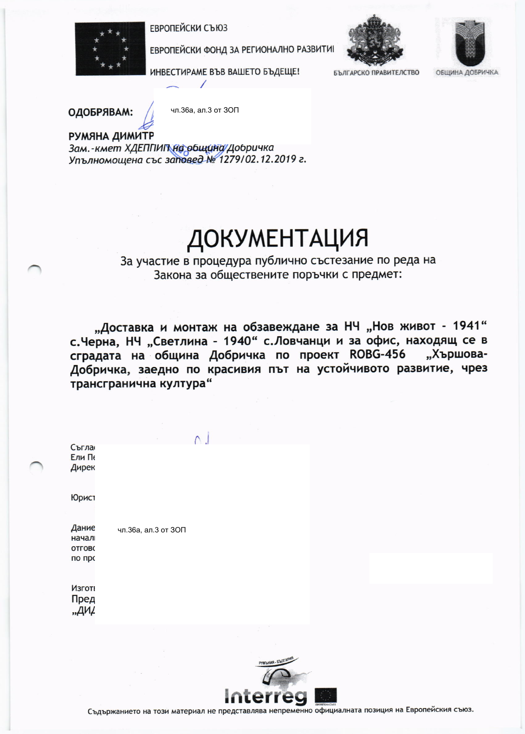ЕВРОПЕЙСКИ СЪЮЗ



ЕВРОПЕЙСКИ ФОНД ЗА РЕГИОНАЛНО РАЗВИТИ



ИНВЕСТИРАМЕ ВЪВ ВАШЕТО БЪДЕЩЕ!

БЪЛГАРСКО ПРАВИТЕЛСТВО

ОБЩИНА ДОБРИЧКА

ОДОБРЯВАМ:

чл.36а, ал.3 от 30П

РУМЯНА ДИМИТР Зам.-кмет ХДЕППИП на община Добричка Упълномощена със заповед № 1279/02.12.2019 г.

## ДОКУМЕНТАЦИЯ

За участие в процедура публично състезание по реда на Закона за обществените поръчки с предмет:

"Доставка и монтаж на обзавеждане за НЧ "Нов живот - 1941" с. Черна, НЧ "Светлина - 1940" с. Ловчанци и за офис, находящ се в сградата на община Добричка по проект ROBG-456 "Хършова-Добричка, заедно по красивия път на устойчивото развитие, чрез трансгранична култура"

| Съгла<br>Ели Пе<br>Дирек |                     |  |  |
|--------------------------|---------------------|--|--|
| Юрист                    |                     |  |  |
| Дание                    | чл.36а, ал.3 от ЗОП |  |  |
| начал                    |                     |  |  |
| <b>ОТГОВС</b>            |                     |  |  |
| по про                   |                     |  |  |
| Изготі                   |                     |  |  |
| Пред                     |                     |  |  |
| $, A$ $M$                |                     |  |  |
|                          |                     |  |  |
|                          |                     |  |  |